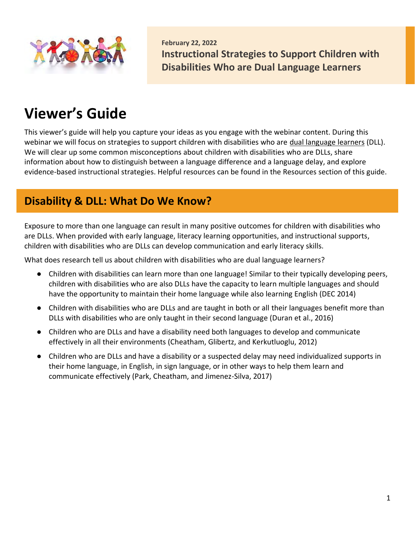

**February 22, 2022 Instructional Strategies to Support Children with Disabilities Who are Dual Language Learners** 

# **Viewer's Guide**

This viewer's guide will help you capture your ideas as you engage with the webinar content. During this webinar we will focus on strategies to support children with disabilities who are dual language learners (DLL). We will clear up some common misconceptions about children with disabilities who are DLLs, share information about how to distinguish between a language difference and a language delay, and explore evidence-based instructional strategies. Helpful resources can be found in the Resources section of this guide.

### **Disability & DLL: What Do We Know?**

Exposure to more than one language can result in many positive outcomes for children with disabilities who are DLLs. When provided with early language, literacy learning opportunities, and instructional supports, children with disabilities who are DLLs can develop communication and early literacy skills.

What does research tell us about children with disabilities who are dual language learners?

- Children with disabilities can learn more than one language! Similar to their typically developing peers, children with disabilities who are also DLLs have the capacity to learn multiple languages and should have the opportunity to maintain their home language while also learning English (DEC 2014)
- Children with disabilities who are DLLs and are taught in both or all their languages benefit more than DLLs with disabilities who are only taught in their second language (Duran et al., 2016)
- Children who are DLLs and have a disability need both languages to develop and communicate effectively in all their environments (Cheatham, Glibertz, and Kerkutluoglu, 2012)
- Children who are DLLs and have a disability or a suspected delay may need individualized supports in their home language, in English, in sign language, or in other ways to help them learn and communicate effectively (Park, Cheatham, and Jimenez-Silva, 2017)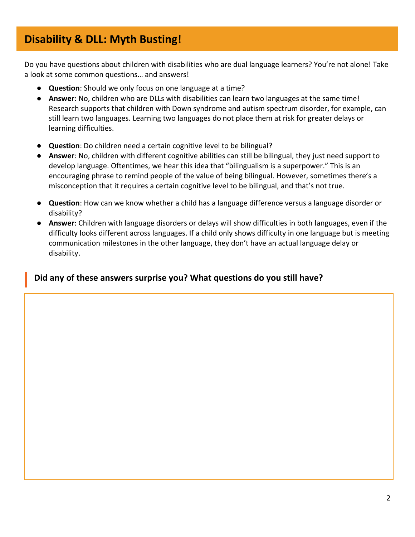# **Disability & DLL: Myth Busting!**

Do you have questions about children with disabilities who are dual language learners? You're not alone! Take a look at some common questions… and answers!

- **Question**: Should we only focus on one language at a time?
- **Answer**: No, children who are DLLs with disabilities can learn two languages at the same time! Research supports that children with Down syndrome and autism spectrum disorder, for example, can still learn two languages. Learning two languages do not place them at risk for greater delays or learning difficulties.
- **Question**: Do children need a certain cognitive level to be bilingual?
- **Answer**: No, children with different cognitive abilities can still be bilingual, they just need support to develop language. Oftentimes, we hear this idea that "bilingualism is a superpower." This is an encouraging phrase to remind people of the value of being bilingual. However, sometimes there's a misconception that it requires a certain cognitive level to be bilingual, and that's not true.
- **Question**: How can we know whether a child has a language difference versus a language disorder or disability?
- **Answer**: Children with language disorders or delays will show difficulties in both languages, even if the difficulty looks different across languages. If a child only shows difficulty in one language but is meeting communication milestones in the other language, they don't have an actual language delay or disability.

### **Did any of these answers surprise you? What questions do you still have?**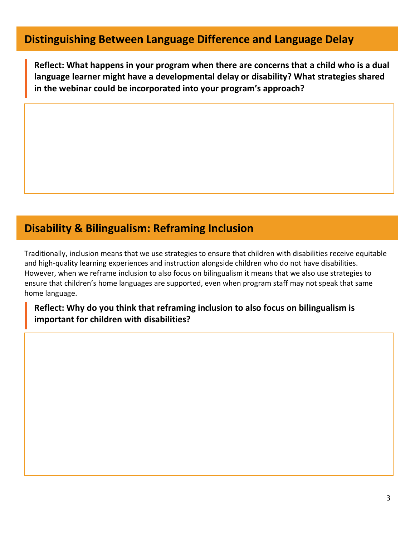# **Distinguishing Between Language Difference and Language Delay**

**Reflect: What happens in your program when there are concerns that a child who is a dual language learner might have a developmental delay or disability? What strategies shared in the webinar could be incorporated into your program's approach?**

## **Disability & Bilingualism: Reframing Inclusion**

Traditionally, inclusion means that we use strategies to ensure that children with disabilities receive equitable and high-quality learning experiences and instruction alongside children who do not have disabilities. However, when we reframe inclusion to also focus on bilingualism it means that we also use strategies to ensure that children's home languages are supported, even when program staff may not speak that same home language.

### **Reflect: Why do you think that reframing inclusion to also focus on bilingualism is important for children with disabilities?**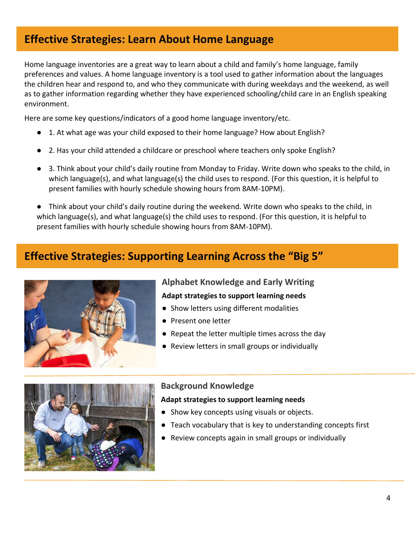## **Effective Strategies: Learn About Home Language**

Home language inventories are a great way to learn about a child and family's home language, family preferences and values. A home language inventory is a tool used to gather information about the languages the children hear and respond to, and who they communicate with during weekdays and the weekend, as well as to gather information regarding whether they have experienced schooling/child care in an English speaking environment.

Here are some key questions/indicators of a good home language inventory/etc.

- 1. At what age was your child exposed to their home language? How about English?
- 2. Has your child attended a childcare or preschool where teachers only spoke English?
- 3. Think about your child's daily routine from Monday to Friday. Write down who speaks to the child, in which language(s), and what language(s) the child uses to respond. (For this question, it is helpful to present families with hourly schedule showing hours from 8AM-10PM).

● Think about your child's daily routine during the weekend. Write down who speaks to the child, in which language(s), and what language(s) the child uses to respond. (For this question, it is helpful to present families with hourly schedule showing hours from 8AM-10PM).

### **Effective Strategies: Supporting Learning Across the "Big 5"**



### **Alphabet Knowledge and Early Writing Adapt strategies to support learning needs**

- Show letters using different modalities
- Present one letter
- Repeat the letter multiple times across the day
- Review letters in small groups or individually



### **Background Knowledge**

#### **Adapt strategies to support learning needs**

- Show key concepts using visuals or objects.
- Teach vocabulary that is key to understanding concepts first
- Review concepts again in small groups or individually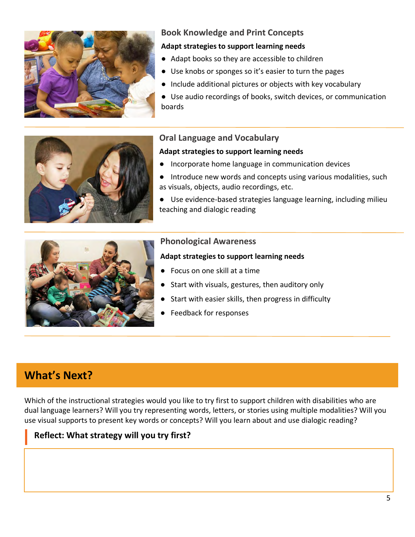

### **Book Knowledge and Print Concepts**

#### **Adapt strategies to support learning needs**

- Adapt books so they are accessible to children
- Use knobs or sponges so it's easier to turn the pages
- Include additional pictures or objects with key vocabulary
- Use audio recordings of books, switch devices, or communication boards



### **Oral Language and Vocabulary**

#### **Adapt strategies to support learning needs**

- Incorporate home language in communication devices
- Introduce new words and concepts using various modalities, such as visuals, objects, audio recordings, etc.
- Use evidence-based strategies language learning, including milieu teaching and dialogic reading



### **Phonological Awareness**

#### **Adapt strategies to support learning needs**

- Focus on one skill at a time
- Start with visuals, gestures, then auditory only
- Start with easier skills, then progress in difficulty
- Feedback for responses

### **What's Next?**

Which of the instructional strategies would you like to try first to support children with disabilities who are dual language learners? Will you try representing words, letters, or stories using multiple modalities? Will you use visual supports to present key words or concepts? Will you learn about and use dialogic reading?

### **Reflect: What strategy will you try first?**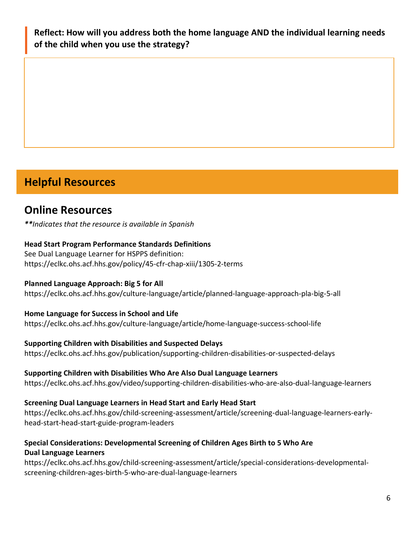**Reflect: How will you address both the home language AND the individual learning needs of the child when you use the strategy?**

# **Helpful Resources**

## **Online Resources**

*\*\*Indicates that the resource is available in Spanish* 

### **Head Start Program Performance Standards Definitions**

See Dual Language Learner for HSPPS definition: <https://eclkc.ohs.acf.hhs.gov/policy/45-cfr-chap-xiii/1305-2-terms>

### **Planned Language Approach: Big 5 for All**

<https://eclkc.ohs.acf.hhs.gov/culture-language/article/planned-language-approach-pla-big-5-all>

### **Home Language for Success in School and Life**

<https://eclkc.ohs.acf.hhs.gov/culture-language/article/home-language-success-school-life>

### **Supporting Children with Disabilities and Suspected Delays**

<https://eclkc.ohs.acf.hhs.gov/publication/supporting-children-disabilities-or-suspected-delays>

### **Supporting Children with Disabilities Who Are Also Dual Language Learners**

<https://eclkc.ohs.acf.hhs.gov/video/supporting-children-disabilities-who-are-also-dual-language-learners>

### **Screening Dual Language Learners in Head Start and Early Head Start**

[https://eclkc.ohs.acf.hhs.gov/child-screening-assessment/article/screening-dual-language-learners-early](https://eclkc.ohs.acf.hhs.gov/child-screening-assessment/article/screening-dual-language-learners-early-head-start-head-start-guide-program-leaders)head-start-head-start-guide-program-leaders

### **Special Considerations: Developmental Screening of Children Ages Birth to 5 Who Are Dual Language Learners**

[https://eclkc.ohs.acf.hhs.gov/child-screening-assessment/article/special-considerations-developmental](https://eclkc.ohs.acf.hhs.gov/child-screening-assessment/article/special-considerations-developmental-screening-children-ages-birth-5-who-are-dual-language-learners)screening-children-ages-birth-5-who-are-dual-language-learners